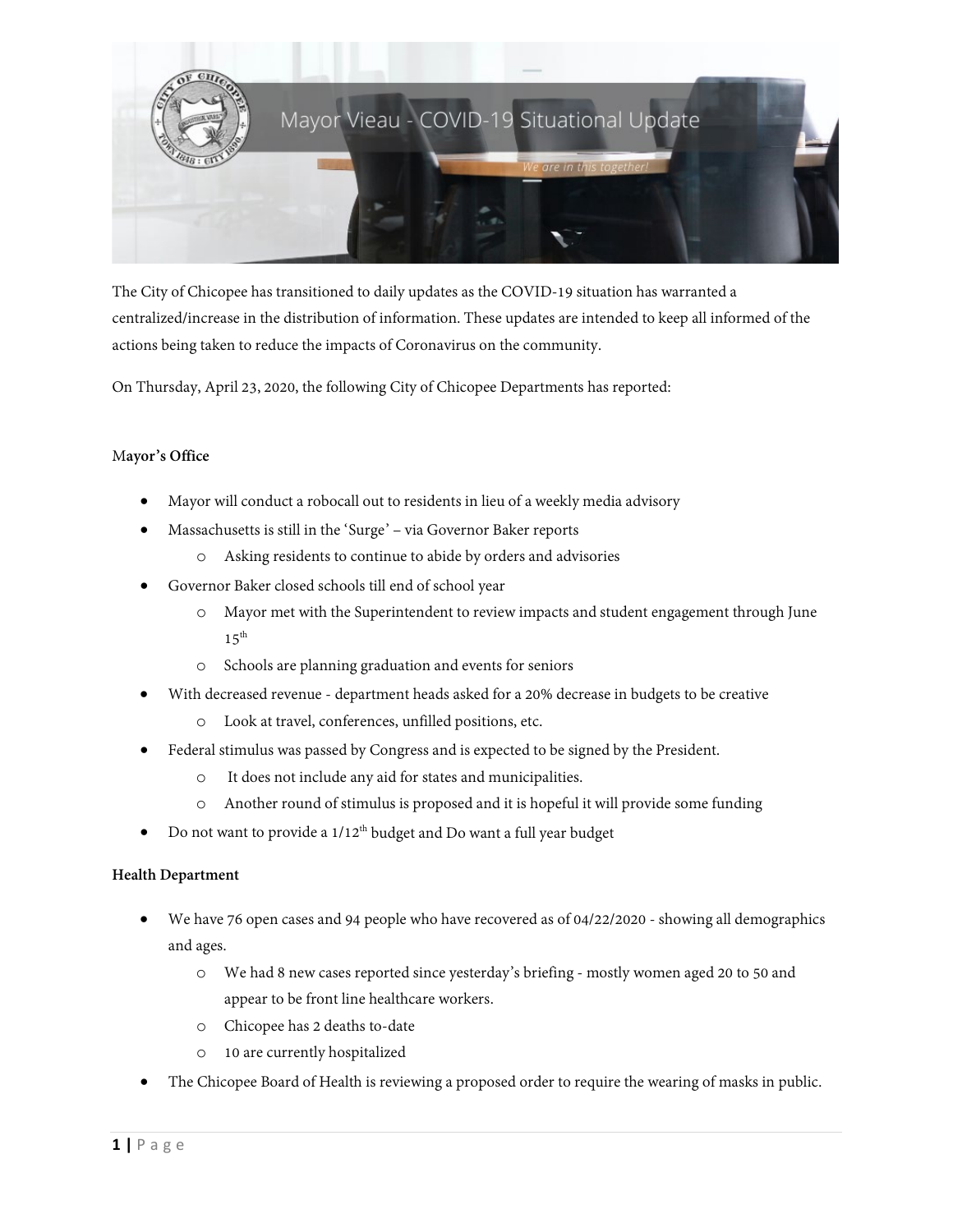

The City of Chicopee has transitioned to daily updates as the COVID-19 situation has warranted a centralized/increase in the distribution of information. These updates are intended to keep all informed of the actions being taken to reduce the impacts of Coronavirus on the community.

On Thursday, April 23, 2020, the following City of Chicopee Departments has reported:

# M**ayor's Office**

- Mayor will conduct a robocall out to residents in lieu of a weekly media advisory
- Massachusetts is still in the 'Surge' via Governor Baker reports
	- o Asking residents to continue to abide by orders and advisories
- Governor Baker closed schools till end of school year
	- o Mayor met with the Superintendent to review impacts and student engagement through June  $15^{th}$
	- o Schools are planning graduation and events for seniors
- With decreased revenue department heads asked for a 20% decrease in budgets to be creative
	- o Look at travel, conferences, unfilled positions, etc.
- Federal stimulus was passed by Congress and is expected to be signed by the President.
	- o It does not include any aid for states and municipalities.
	- o Another round of stimulus is proposed and it is hopeful it will provide some funding
- Do not want to provide a  $1/12^{\text{th}}$  budget and Do want a full year budget

# **Health Department**

- We have 76 open cases and 94 people who have recovered as of 04/22/2020 showing all demographics and ages.
	- o We had 8 new cases reported since yesterday's briefing mostly women aged 20 to 50 and appear to be front line healthcare workers.
	- o Chicopee has 2 deaths to-date
	- o 10 are currently hospitalized
- The Chicopee Board of Health is reviewing a proposed order to require the wearing of masks in public.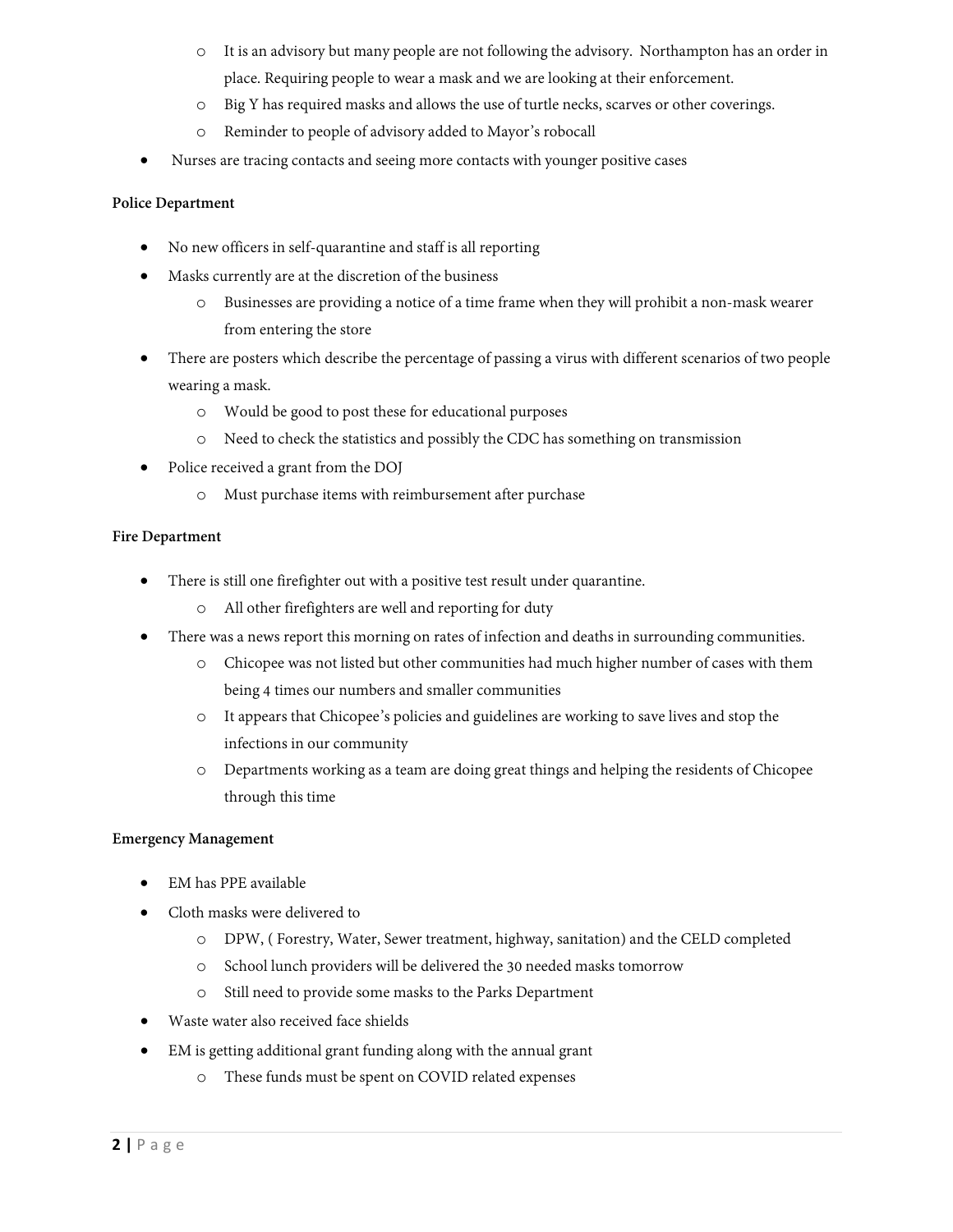- o It is an advisory but many people are not following the advisory. Northampton has an order in place. Requiring people to wear a mask and we are looking at their enforcement.
- o Big Y has required masks and allows the use of turtle necks, scarves or other coverings.
- o Reminder to people of advisory added to Mayor's robocall
- Nurses are tracing contacts and seeing more contacts with younger positive cases

## **Police Department**

- No new officers in self-quarantine and staff is all reporting
- Masks currently are at the discretion of the business
	- o Businesses are providing a notice of a time frame when they will prohibit a non-mask wearer from entering the store
- There are posters which describe the percentage of passing a virus with different scenarios of two people wearing a mask.
	- o Would be good to post these for educational purposes
	- o Need to check the statistics and possibly the CDC has something on transmission
- Police received a grant from the DOJ
	- o Must purchase items with reimbursement after purchase

### **Fire Department**

- There is still one firefighter out with a positive test result under quarantine.
	- o All other firefighters are well and reporting for duty
- There was a news report this morning on rates of infection and deaths in surrounding communities.
	- o Chicopee was not listed but other communities had much higher number of cases with them being 4 times our numbers and smaller communities
	- o It appears that Chicopee's policies and guidelines are working to save lives and stop the infections in our community
	- o Departments working as a team are doing great things and helping the residents of Chicopee through this time

# **Emergency Management**

- EM has PPE available
- Cloth masks were delivered to
	- o DPW, ( Forestry, Water, Sewer treatment, highway, sanitation) and the CELD completed
	- o School lunch providers will be delivered the 30 needed masks tomorrow
	- o Still need to provide some masks to the Parks Department
- Waste water also received face shields
- EM is getting additional grant funding along with the annual grant
	- o These funds must be spent on COVID related expenses